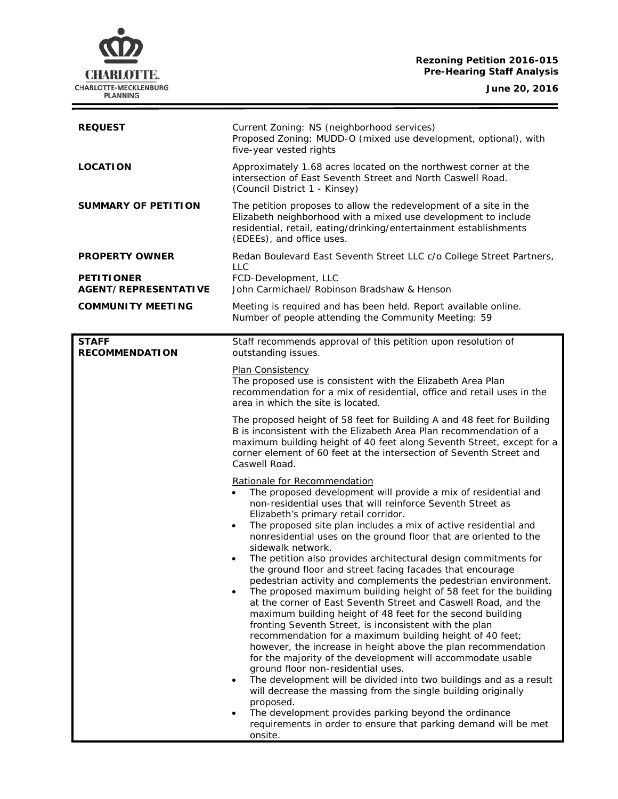### **Rezoning Petition 2016-015 Pre-Hearing Staff Analysis**

**June 20, 2016**

 $=$ 



| <b>REQUEST</b>                                                            | Current Zoning: NS (neighborhood services)<br>Proposed Zoning: MUDD-O (mixed use development, optional), with<br>five-year vested rights                                                                                                                                                                                                                                                                                                                                                                                                                                                                                                                                                                                                                                                                                                                                                                                                                                                                                                                                                                                                                                                                                                                                                                                                                                                                                                                                                                                                                                                                                                                                                                                                                                                                                                                      |
|---------------------------------------------------------------------------|---------------------------------------------------------------------------------------------------------------------------------------------------------------------------------------------------------------------------------------------------------------------------------------------------------------------------------------------------------------------------------------------------------------------------------------------------------------------------------------------------------------------------------------------------------------------------------------------------------------------------------------------------------------------------------------------------------------------------------------------------------------------------------------------------------------------------------------------------------------------------------------------------------------------------------------------------------------------------------------------------------------------------------------------------------------------------------------------------------------------------------------------------------------------------------------------------------------------------------------------------------------------------------------------------------------------------------------------------------------------------------------------------------------------------------------------------------------------------------------------------------------------------------------------------------------------------------------------------------------------------------------------------------------------------------------------------------------------------------------------------------------------------------------------------------------------------------------------------------------|
| <b>LOCATION</b>                                                           | Approximately 1.68 acres located on the northwest corner at the<br>intersection of East Seventh Street and North Caswell Road.<br>(Council District 1 - Kinsey)                                                                                                                                                                                                                                                                                                                                                                                                                                                                                                                                                                                                                                                                                                                                                                                                                                                                                                                                                                                                                                                                                                                                                                                                                                                                                                                                                                                                                                                                                                                                                                                                                                                                                               |
| SUMMARY OF PETITION                                                       | The petition proposes to allow the redevelopment of a site in the<br>Elizabeth neighborhood with a mixed use development to include<br>residential, retail, eating/drinking/entertainment establishments<br>(EDEEs), and office uses.                                                                                                                                                                                                                                                                                                                                                                                                                                                                                                                                                                                                                                                                                                                                                                                                                                                                                                                                                                                                                                                                                                                                                                                                                                                                                                                                                                                                                                                                                                                                                                                                                         |
| <b>PROPERTY OWNER</b><br><b>PETITIONER</b><br><b>AGENT/REPRESENTATIVE</b> | Redan Boulevard East Seventh Street LLC c/o College Street Partners,<br><b>LLC</b><br>FCD-Development, LLC<br>John Carmichael/ Robinson Bradshaw & Henson                                                                                                                                                                                                                                                                                                                                                                                                                                                                                                                                                                                                                                                                                                                                                                                                                                                                                                                                                                                                                                                                                                                                                                                                                                                                                                                                                                                                                                                                                                                                                                                                                                                                                                     |
| <b>COMMUNITY MEETING</b>                                                  | Meeting is required and has been held. Report available online.<br>Number of people attending the Community Meeting: 59                                                                                                                                                                                                                                                                                                                                                                                                                                                                                                                                                                                                                                                                                                                                                                                                                                                                                                                                                                                                                                                                                                                                                                                                                                                                                                                                                                                                                                                                                                                                                                                                                                                                                                                                       |
| <b>STAFF</b><br><b>RECOMMENDATION</b>                                     | Staff recommends approval of this petition upon resolution of<br>outstanding issues.<br>Plan Consistency<br>The proposed use is consistent with the Elizabeth Area Plan<br>recommendation for a mix of residential, office and retail uses in the<br>area in which the site is located.<br>The proposed height of 58 feet for Building A and 48 feet for Building<br>B is inconsistent with the Elizabeth Area Plan recommendation of a<br>maximum building height of 40 feet along Seventh Street, except for a<br>corner element of 60 feet at the intersection of Seventh Street and<br>Caswell Road.<br>Rationale for Recommendation<br>The proposed development will provide a mix of residential and<br>non-residential uses that will reinforce Seventh Street as<br>Elizabeth's primary retail corridor.<br>The proposed site plan includes a mix of active residential and<br>$\bullet$<br>nonresidential uses on the ground floor that are oriented to the<br>sidewalk network.<br>The petition also provides architectural design commitments for<br>$\bullet$<br>the ground floor and street facing facades that encourage<br>pedestrian activity and complements the pedestrian environment.<br>The proposed maximum building height of 58 feet for the building<br>at the corner of East Seventh Street and Caswell Road, and the<br>maximum building height of 48 feet for the second building<br>fronting Seventh Street, is inconsistent with the plan<br>recommendation for a maximum building height of 40 feet;<br>however, the increase in height above the plan recommendation<br>for the majority of the development will accommodate usable<br>ground floor non-residential uses.<br>The development will be divided into two buildings and as a result<br>$\bullet$<br>will decrease the massing from the single building originally |
|                                                                           | proposed.<br>The development provides parking beyond the ordinance<br>requirements in order to ensure that parking demand will be met<br>onsite.                                                                                                                                                                                                                                                                                                                                                                                                                                                                                                                                                                                                                                                                                                                                                                                                                                                                                                                                                                                                                                                                                                                                                                                                                                                                                                                                                                                                                                                                                                                                                                                                                                                                                                              |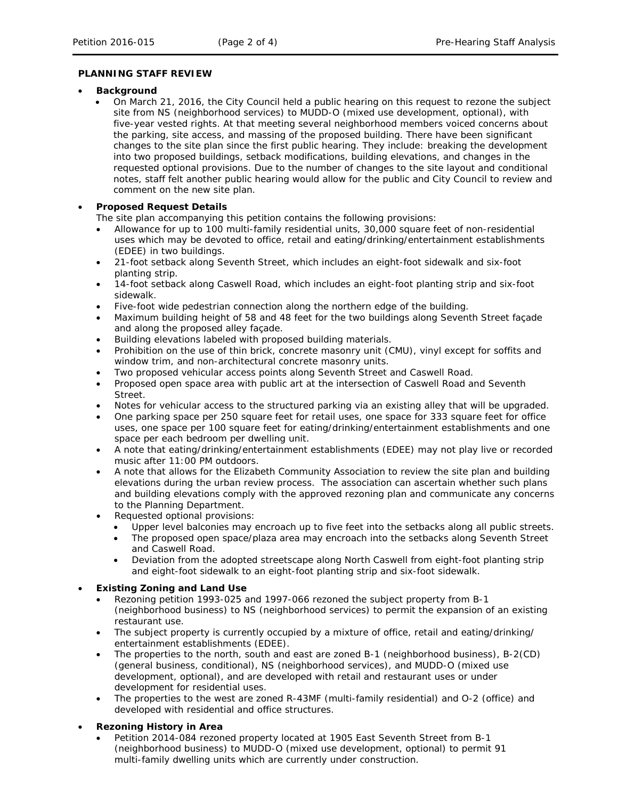# **PLANNING STAFF REVIEW**

#### • **Background**

• On March 21, 2016, the City Council held a public hearing on this request to rezone the subject site from NS (neighborhood services) to MUDD-O (mixed use development, optional), with five-year vested rights. At that meeting several neighborhood members voiced concerns about the parking, site access, and massing of the proposed building. There have been significant changes to the site plan since the first public hearing. They include: breaking the development into two proposed buildings, setback modifications, building elevations, and changes in the requested optional provisions. Due to the number of changes to the site layout and conditional notes, staff felt another public hearing would allow for the public and City Council to review and comment on the new site plan.

# • **Proposed Request Details**

The site plan accompanying this petition contains the following provisions:

- Allowance for up to 100 multi-family residential units, 30,000 square feet of non-residential uses which may be devoted to office, retail and eating/drinking/entertainment establishments (EDEE) in two buildings.
- 21-foot setback along Seventh Street, which includes an eight-foot sidewalk and six-foot planting strip.
- 14-foot setback along Caswell Road, which includes an eight-foot planting strip and six-foot sidewalk.
- Five-foot wide pedestrian connection along the northern edge of the building.
- Maximum building height of 58 and 48 feet for the two buildings along Seventh Street façade and along the proposed alley façade.
- Building elevations labeled with proposed building materials.
- Prohibition on the use of thin brick, concrete masonry unit (CMU), vinyl except for soffits and window trim, and non-architectural concrete masonry units.
- Two proposed vehicular access points along Seventh Street and Caswell Road.
- Proposed open space area with public art at the intersection of Caswell Road and Seventh Street.
- Notes for vehicular access to the structured parking via an existing alley that will be upgraded.
- One parking space per 250 square feet for retail uses, one space for 333 square feet for office uses, one space per 100 square feet for eating/drinking/entertainment establishments and one space per each bedroom per dwelling unit.
- A note that eating/drinking/entertainment establishments (EDEE) may not play live or recorded music after 11:00 PM outdoors.
- A note that allows for the Elizabeth Community Association to review the site plan and building elevations during the urban review process. The association can ascertain whether such plans and building elevations comply with the approved rezoning plan and communicate any concerns to the Planning Department.
- Requested optional provisions:
	- Upper level balconies may encroach up to five feet into the setbacks along all public streets.
		- The proposed open space/plaza area may encroach into the setbacks along Seventh Street and Caswell Road.
	- Deviation from the adopted streetscape along North Caswell from eight-foot planting strip and eight-foot sidewalk to an eight-foot planting strip and six-foot sidewalk.

# • **Existing Zoning and Land Use**

- Rezoning petition 1993-025 and 1997-066 rezoned the subject property from B-1 (neighborhood business) to NS (neighborhood services) to permit the expansion of an existing restaurant use.
- The subject property is currently occupied by a mixture of office, retail and eating/drinking/ entertainment establishments (EDEE).
- The properties to the north, south and east are zoned B-1 (neighborhood business), B-2(CD) (general business, conditional), NS (neighborhood services), and MUDD-O (mixed use development, optional), and are developed with retail and restaurant uses or under development for residential uses.
- The properties to the west are zoned R-43MF (multi-family residential) and O-2 (office) and developed with residential and office structures.

# • **Rezoning History in Area**

• Petition 2014-084 rezoned property located at 1905 East Seventh Street from B-1 (neighborhood business) to MUDD-O (mixed use development, optional) to permit 91 multi-family dwelling units which are currently under construction.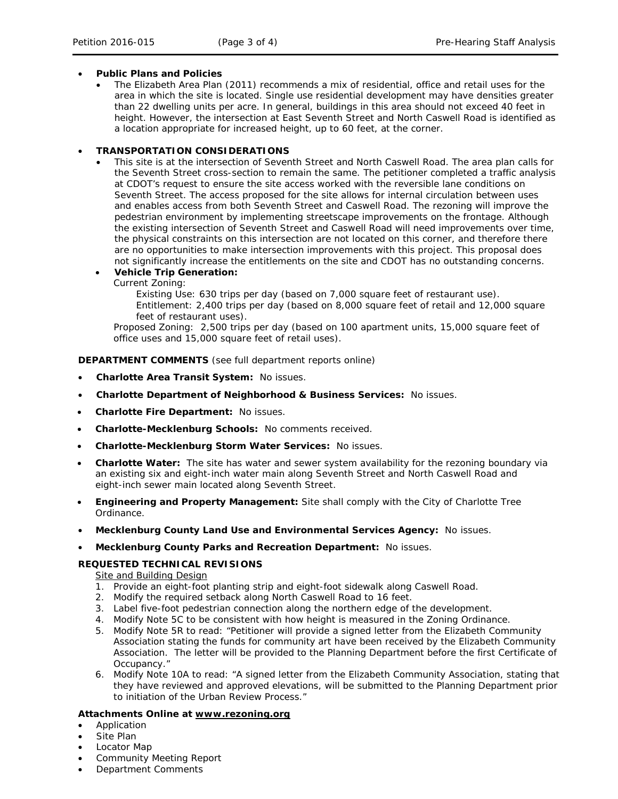### • **Public Plans and Policies**

• The *Elizabeth Area Plan* (2011) recommends a mix of residential, office and retail uses for the area in which the site is located. Single use residential development may have densities greater than 22 dwelling units per acre. In general, buildings in this area should not exceed 40 feet in height. However, the intersection at East Seventh Street and North Caswell Road is identified as a location appropriate for increased height, up to 60 feet, at the corner.

#### • **TRANSPORTATION CONSIDERATIONS**

This site is at the intersection of Seventh Street and North Caswell Road. The area plan calls for the Seventh Street cross-section to remain the same. The petitioner completed a traffic analysis at CDOT's request to ensure the site access worked with the reversible lane conditions on Seventh Street. The access proposed for the site allows for internal circulation between uses and enables access from both Seventh Street and Caswell Road. The rezoning will improve the pedestrian environment by implementing streetscape improvements on the frontage. Although the existing intersection of Seventh Street and Caswell Road will need improvements over time, the physical constraints on this intersection are not located on this corner, and therefore there are no opportunities to make intersection improvements with this project. This proposal does not significantly increase the entitlements on the site and CDOT has no outstanding concerns.

#### • **Vehicle Trip Generation:**

Current Zoning:

Existing Use: 630 trips per day (based on 7,000 square feet of restaurant use). Entitlement: 2,400 trips per day (based on 8,000 square feet of retail and 12,000 square feet of restaurant uses).

Proposed Zoning: 2,500 trips per day (based on 100 apartment units, 15,000 square feet of office uses and 15,000 square feet of retail uses).

**DEPARTMENT COMMENTS** (see full department reports online)

- **Charlotte Area Transit System:** No issues.
- **Charlotte Department of Neighborhood & Business Services:** No issues.
- **Charlotte Fire Department:** No issues.
- **Charlotte-Mecklenburg Schools:** No comments received.
- **Charlotte-Mecklenburg Storm Water Services:** No issues.
- **Charlotte Water:** The site has water and sewer system availability for the rezoning boundary via an existing six and eight-inch water main along Seventh Street and North Caswell Road and eight-inch sewer main located along Seventh Street.
- **Engineering and Property Management:** Site shall comply with the City of Charlotte Tree Ordinance.
- **Mecklenburg County Land Use and Environmental Services Agency:** No issues.
- **Mecklenburg County Parks and Recreation Department:** No issues.

# **REQUESTED TECHNICAL REVISIONS**

**Site and Building Design** 

- 1. Provide an eight-foot planting strip and eight-foot sidewalk along Caswell Road.
- 2. Modify the required setback along North Caswell Road to 16 feet.
- 3. Label five-foot pedestrian connection along the northern edge of the development.
- 4. Modify Note 5C to be consistent with how height is measured in the Zoning Ordinance.
- 5. Modify Note 5R to read: "Petitioner will provide a signed letter from the Elizabeth Community Association stating the funds for community art have been received by the Elizabeth Community Association. The letter will be provided to the Planning Department before the first Certificate of Occupancy."
- 6. Modify Note 10A to read: "A signed letter from the Elizabeth Community Association, stating that they have reviewed and approved elevations, will be submitted to the Planning Department prior to initiation of the Urban Review Process."

#### **Attachments Online at www.rezoning.org**

- Application
- Site Plan
- Locator Map
- Community Meeting Report
- Department Comments